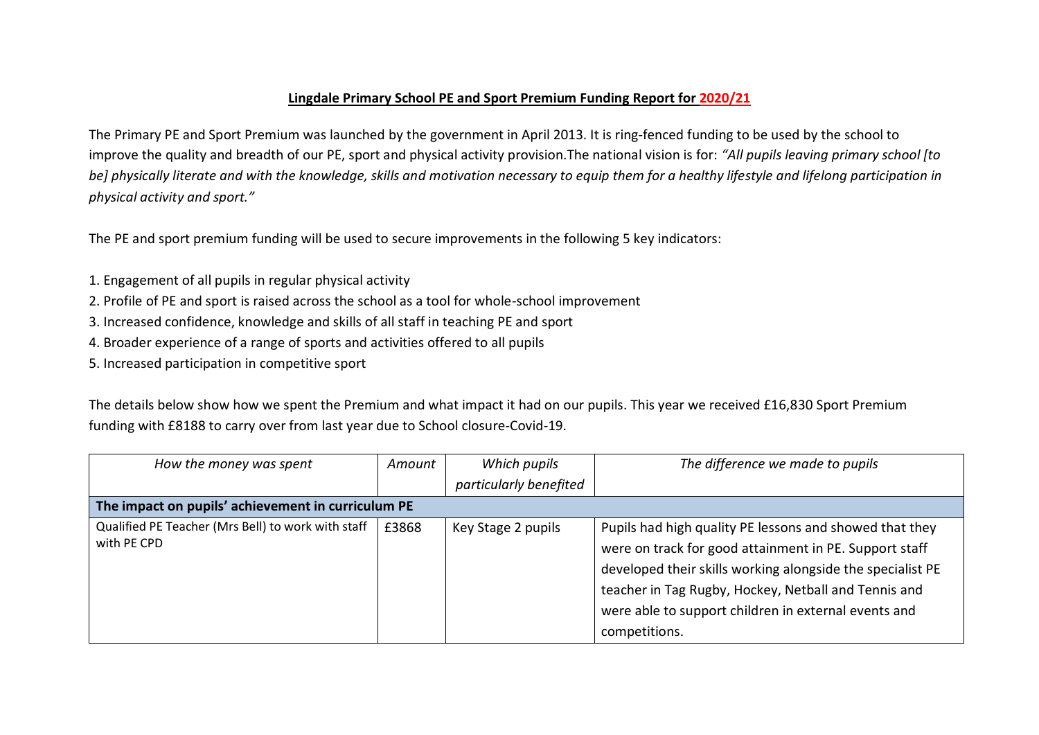## **Lingdale Primary School PE and Sport Premium Funding Report for 2020/21**

The Primary PE and Sport Premium was launched by the government in April 2013. It is ring-fenced funding to be used by the school to improve the quality and breadth of our PE, sport and physical activity provision.The national vision is for: *"All pupils leaving primary school [to be] physically literate and with the knowledge, skills and motivation necessary to equip them for a healthy lifestyle and lifelong participation in physical activity and sport."*

The PE and sport premium funding will be used to secure improvements in the following 5 key indicators:

- 1. Engagement of all pupils in regular physical activity
- 2. Profile of PE and sport is raised across the school as a tool for whole-school improvement
- 3. Increased confidence, knowledge and skills of all staff in teaching PE and sport
- 4. Broader experience of a range of sports and activities offered to all pupils
- 5. Increased participation in competitive sport

The details below show how we spent the Premium and what impact it had on our pupils. This year we received £16,830 Sport Premium funding with £8188 to carry over from last year due to School closure-Covid-19.

| How the money was spent                                           | Amount | Which pupils           | The difference we made to pupils                                                                                                                                                                                                                                                                |  |  |
|-------------------------------------------------------------------|--------|------------------------|-------------------------------------------------------------------------------------------------------------------------------------------------------------------------------------------------------------------------------------------------------------------------------------------------|--|--|
|                                                                   |        | particularly benefited |                                                                                                                                                                                                                                                                                                 |  |  |
| The impact on pupils' achievement in curriculum PE                |        |                        |                                                                                                                                                                                                                                                                                                 |  |  |
| Qualified PE Teacher (Mrs Bell) to work with staff<br>with PE CPD | £3868  | Key Stage 2 pupils     | Pupils had high quality PE lessons and showed that they<br>were on track for good attainment in PE. Support staff<br>developed their skills working alongside the specialist PE<br>teacher in Tag Rugby, Hockey, Netball and Tennis and<br>were able to support children in external events and |  |  |
|                                                                   |        |                        | competitions.                                                                                                                                                                                                                                                                                   |  |  |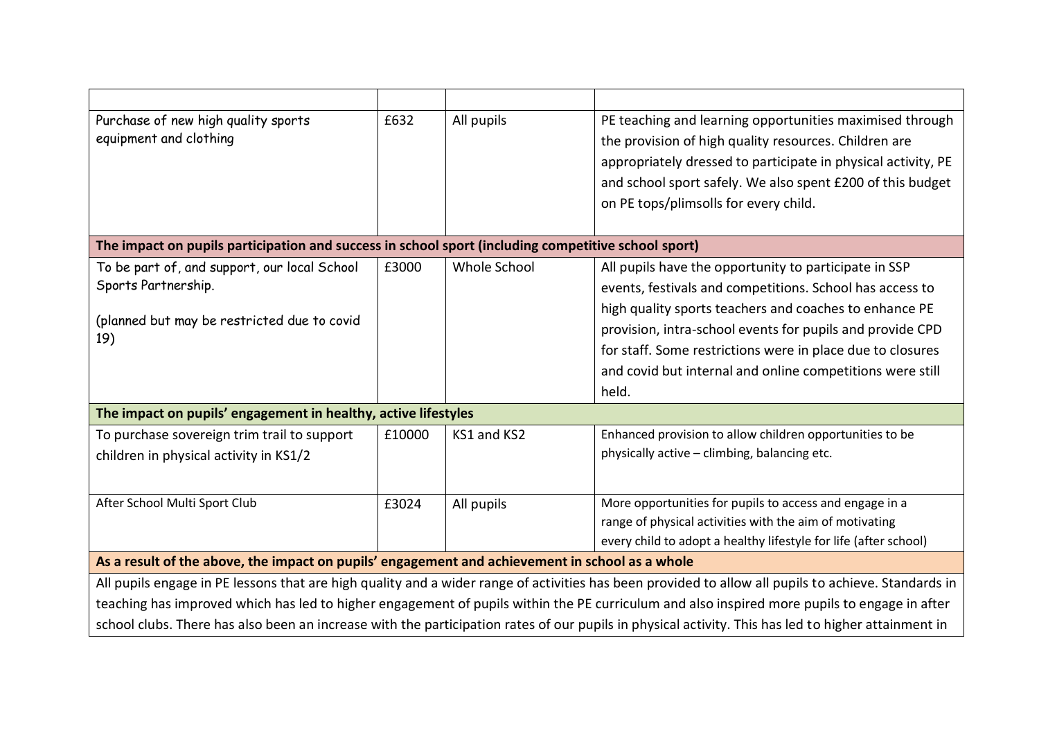| Purchase of new high quality sports<br>equipment and clothing                                                                                                                               | £632   | All pupils   | PE teaching and learning opportunities maximised through<br>the provision of high quality resources. Children are<br>appropriately dressed to participate in physical activity, PE<br>and school sport safely. We also spent £200 of this budget<br>on PE tops/plimsolls for every child.                                                                                    |  |  |
|---------------------------------------------------------------------------------------------------------------------------------------------------------------------------------------------|--------|--------------|------------------------------------------------------------------------------------------------------------------------------------------------------------------------------------------------------------------------------------------------------------------------------------------------------------------------------------------------------------------------------|--|--|
| The impact on pupils participation and success in school sport (including competitive school sport)                                                                                         |        |              |                                                                                                                                                                                                                                                                                                                                                                              |  |  |
| To be part of, and support, our local School<br>Sports Partnership.<br>(planned but may be restricted due to covid<br>19)<br>The impact on pupils' engagement in healthy, active lifestyles | £3000  | Whole School | All pupils have the opportunity to participate in SSP<br>events, festivals and competitions. School has access to<br>high quality sports teachers and coaches to enhance PE<br>provision, intra-school events for pupils and provide CPD<br>for staff. Some restrictions were in place due to closures<br>and covid but internal and online competitions were still<br>held. |  |  |
| To purchase sovereign trim trail to support<br>children in physical activity in KS1/2                                                                                                       | £10000 | KS1 and KS2  | Enhanced provision to allow children opportunities to be<br>physically active - climbing, balancing etc.                                                                                                                                                                                                                                                                     |  |  |
| After School Multi Sport Club                                                                                                                                                               | £3024  | All pupils   | More opportunities for pupils to access and engage in a<br>range of physical activities with the aim of motivating<br>every child to adopt a healthy lifestyle for life (after school)                                                                                                                                                                                       |  |  |
| As a result of the above, the impact on pupils' engagement and achievement in school as a whole                                                                                             |        |              |                                                                                                                                                                                                                                                                                                                                                                              |  |  |
| All pupils engage in PE lessons that are high quality and a wider range of activities has been provided to allow all pupils to achieve. Standards in                                        |        |              |                                                                                                                                                                                                                                                                                                                                                                              |  |  |
| teaching has improved which has led to higher engagement of pupils within the PE curriculum and also inspired more pupils to engage in after                                                |        |              |                                                                                                                                                                                                                                                                                                                                                                              |  |  |
| school clubs. There has also been an increase with the participation rates of our pupils in physical activity. This has led to higher attainment in                                         |        |              |                                                                                                                                                                                                                                                                                                                                                                              |  |  |